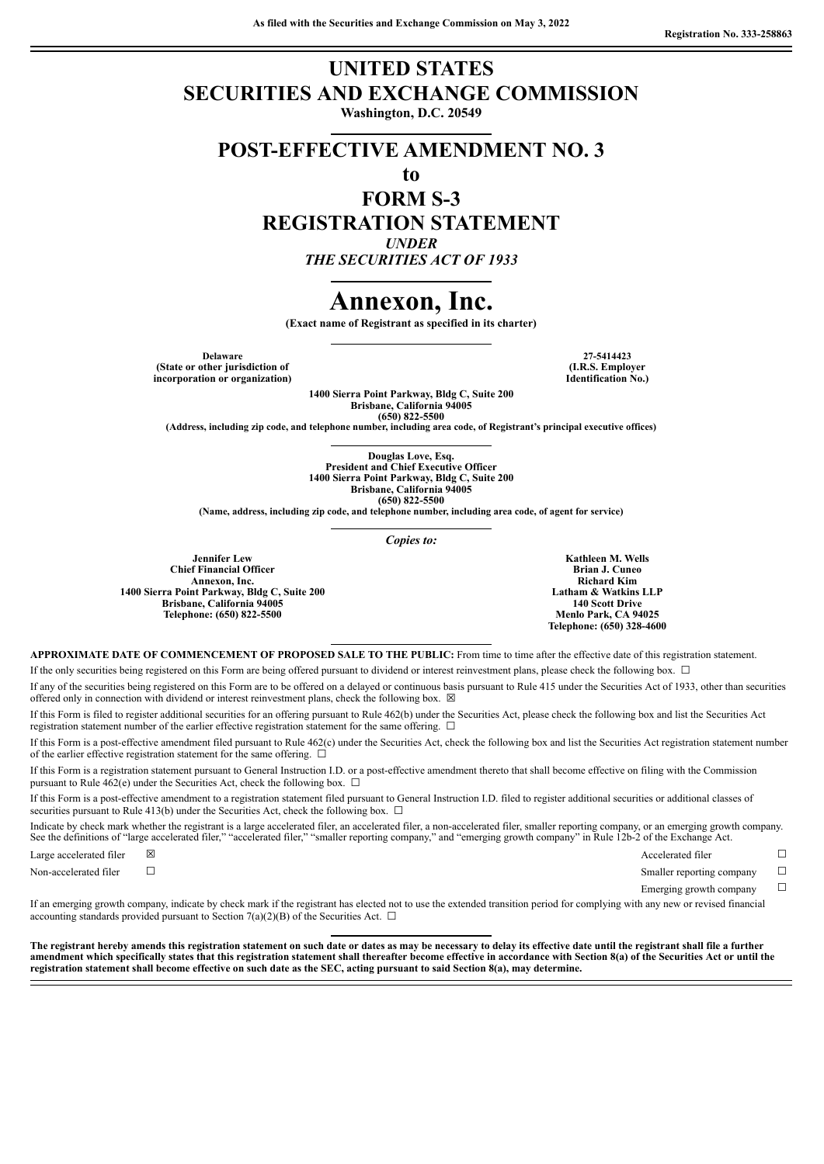# **UNITED STATES SECURITIES AND EXCHANGE COMMISSION**

**Washington, D.C. 20549**

### **POST-EFFECTIVE AMENDMENT NO. 3 to FORM S-3 REGISTRATION STATEMENT** *UNDER THE SECURITIES ACT OF 1933*

# **Annexon, Inc.**

**(Exact name of Registrant as specified in its charter)**

**Delaware 27-5414423 (State or other jurisdiction of incorporation or organization)**

**(I.R.S. Employer Identification No.)**

**1400 Sierra Point Parkway, Bldg C, Suite 200 Brisbane, California 94005 (650) 822-5500**

**(Address, including zip code, and telephone number, including area code, of Registrant's principal executive offices)**

**Douglas Love, Esq. President and Chief Executive Officer 1400 Sierra Point Parkway, Bldg C, Suite 200 Brisbane, California 94005 (650) 822-5500**

**(Name, address, including zip code, and telephone number, including area code, of agent for service)**

*Copies to:*

**Jennifer Lew Chief Financial Officer Annexon, Inc. 1400 Sierra Point Parkway, Bldg C, Suite 200 Brisbane, California 94005 Telephone: (650) 822-5500**

**Kathleen M. Wells Brian J. Cuneo Richard Kim Latham & Watkins LLP 140 Scott Drive Menlo Park, CA 94025 Telephone: (650) 328-4600**

**APPROXIMATE DATE OF COMMENCEMENT OF PROPOSED SALE TO THE PUBLIC:** From time to time after the effective date of this registration statement. If the only securities being registered on this Form are being offered pursuant to dividend or interest reinvestment plans, please check the following box.  $\Box$ 

If any of the securities being registered on this Form are to be offered on a delayed or continuous basis pursuant to Rule 415 under the Securities Act of 1933, other than securities offered only in connection with dividend or interest reinvestment plans, check the following box.  $\boxtimes$ 

If this Form is filed to register additional securities for an offering pursuant to Rule 462(b) under the Securities Act, please check the following box and list the Securities Act registration statement number of the earlier effective registration statement for the same offering. □

If this Form is a post-effective amendment filed pursuant to Rule 462(c) under the Securities Act, check the following box and list the Securities Act registration statement number of the earlier effective registration statement for the same offering.  $\Box$ 

If this Form is a registration statement pursuant to General Instruction I.D. or a post-effective amendment thereto that shall become effective on filing with the Commission pursuant to Rule 462(e) under the Securities Act, check the following box.  $\Box$ 

If this Form is a post-effective amendment to a registration statement filed pursuant to General Instruction I.D. filed to register additional securities or additional classes of securities pursuant to Rule 413(b) under the Securities Act, check the following box.  $\Box$ 

Indicate by check mark whether the registrant is a large accelerated filer, an accelerated filer, a non-accelerated filer, smaller reporting company, or an emerging growth company. See the definitions of "large accelerated filer," "accelerated filer," "smaller reporting company," and "emerging growth company" in Rule 12b-2 of the Exchange Act.

Non-accelerated filer <del>□</del>

Large accelerated filer ☒ Accelerated filer ☐

Emerging growth company  $\Box$ 

If an emerging growth company, indicate by check mark if the registrant has elected not to use the extended transition period for complying with any new or revised financial accounting standards provided pursuant to Section 7(a)(2)(B) of the Securities Act.  $\Box$ 

The registrant hereby amends this registration statement on such date or dates as may be necessary to delay its effective date until the registrant shall file a further amendment which specifically states that this registration statement shall thereafter become effective in accordance with Section 8(a) of the Securities Act or until the registration statement shall become effective on such date as the SEC, acting pursuant to said Section 8(a), may determine.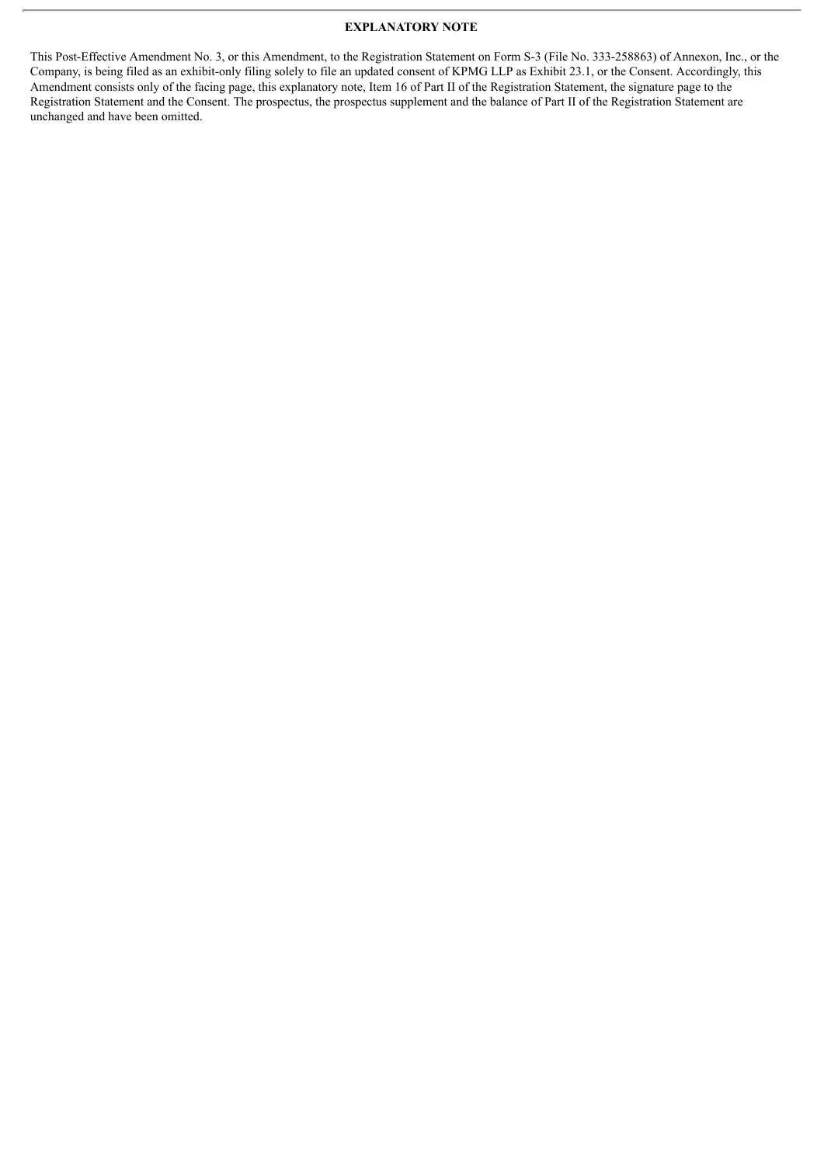#### **EXPLANATORY NOTE**

This Post-Effective Amendment No. 3, or this Amendment, to the Registration Statement on Form S-3 (File No. 333-258863) of Annexon, Inc., or the Company, is being filed as an exhibit-only filing solely to file an updated consent of KPMG LLP as Exhibit 23.1, or the Consent. Accordingly, this Amendment consists only of the facing page, this explanatory note, Item 16 of Part II of the Registration Statement, the signature page to the Registration Statement and the Consent. The prospectus, the prospectus supplement and the balance of Part II of the Registration Statement are unchanged and have been omitted.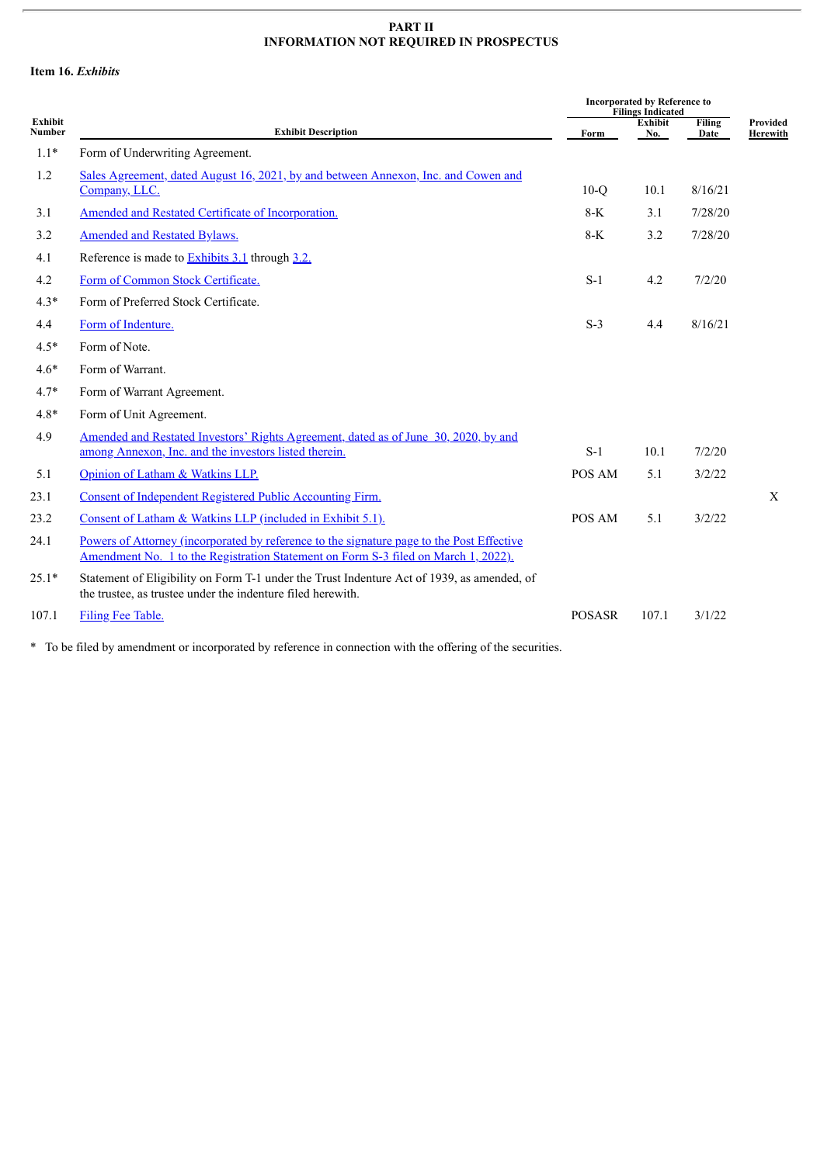#### **PART II INFORMATION NOT REQUIRED IN PROSPECTUS**

### **Item 16.** *Exhibits*

| <b>Exhibit</b><br><b>Number</b> | <b>Exhibit Description</b>                                                                                                                                                      | <b>Incorporated by Reference to</b><br><b>Filings Indicated</b> |                |                |                      |
|---------------------------------|---------------------------------------------------------------------------------------------------------------------------------------------------------------------------------|-----------------------------------------------------------------|----------------|----------------|----------------------|
|                                 |                                                                                                                                                                                 | Form                                                            | Exhibit<br>No. | Filing<br>Date | Provided<br>Herewith |
| $1.1*$                          | Form of Underwriting Agreement.                                                                                                                                                 |                                                                 |                |                |                      |
| 1.2                             | Sales Agreement, dated August 16, 2021, by and between Annexon, Inc. and Cowen and                                                                                              |                                                                 |                |                |                      |
|                                 | Company, LLC.                                                                                                                                                                   | $10-Q$                                                          | 10.1           | 8/16/21        |                      |
| 3.1                             | Amended and Restated Certificate of Incorporation.                                                                                                                              | $8-K$                                                           | 3.1            | 7/28/20        |                      |
| 3.2                             | <b>Amended and Restated Bylaws.</b>                                                                                                                                             | $8-K$                                                           | 3.2            | 7/28/20        |                      |
| 4.1                             | Reference is made to Exhibits 3.1 through 3.2.                                                                                                                                  |                                                                 |                |                |                      |
| 4.2                             | Form of Common Stock Certificate.                                                                                                                                               | $S-1$                                                           | 4.2            | 7/2/20         |                      |
| $4.3*$                          | Form of Preferred Stock Certificate.                                                                                                                                            |                                                                 |                |                |                      |
| 4.4                             | Form of Indenture.                                                                                                                                                              | $S-3$                                                           | 4.4            | 8/16/21        |                      |
| $4.5*$                          | Form of Note.                                                                                                                                                                   |                                                                 |                |                |                      |
| $4.6*$                          | Form of Warrant.                                                                                                                                                                |                                                                 |                |                |                      |
| $4.7*$                          | Form of Warrant Agreement.                                                                                                                                                      |                                                                 |                |                |                      |
| $4.8*$                          | Form of Unit Agreement.                                                                                                                                                         |                                                                 |                |                |                      |
| 4.9                             | Amended and Restated Investors' Rights Agreement, dated as of June 30, 2020, by and                                                                                             |                                                                 |                |                |                      |
|                                 | among Annexon, Inc. and the investors listed therein.                                                                                                                           | $S-1$                                                           | 10.1           | 7/2/20         |                      |
| 5.1                             | Opinion of Latham & Watkins LLP.                                                                                                                                                | POS AM                                                          | 5.1            | 3/2/22         |                      |
| 23.1                            | Consent of Independent Registered Public Accounting Firm.                                                                                                                       |                                                                 |                |                | X                    |
| 23.2                            | Consent of Latham & Watkins LLP (included in Exhibit 5.1).                                                                                                                      | POS AM                                                          | 5.1            | 3/2/22         |                      |
| 24.1                            | Powers of Attorney (incorporated by reference to the signature page to the Post Effective<br>Amendment No. 1 to the Registration Statement on Form S-3 filed on March 1, 2022). |                                                                 |                |                |                      |
| $25.1*$                         | Statement of Eligibility on Form T-1 under the Trust Indenture Act of 1939, as amended, of<br>the trustee, as trustee under the indenture filed herewith.                       |                                                                 |                |                |                      |
| 107.1                           | Filing Fee Table.                                                                                                                                                               | <b>POSASR</b>                                                   | 107.1          | 3/1/22         |                      |

\* To be filed by amendment or incorporated by reference in connection with the offering of the securities.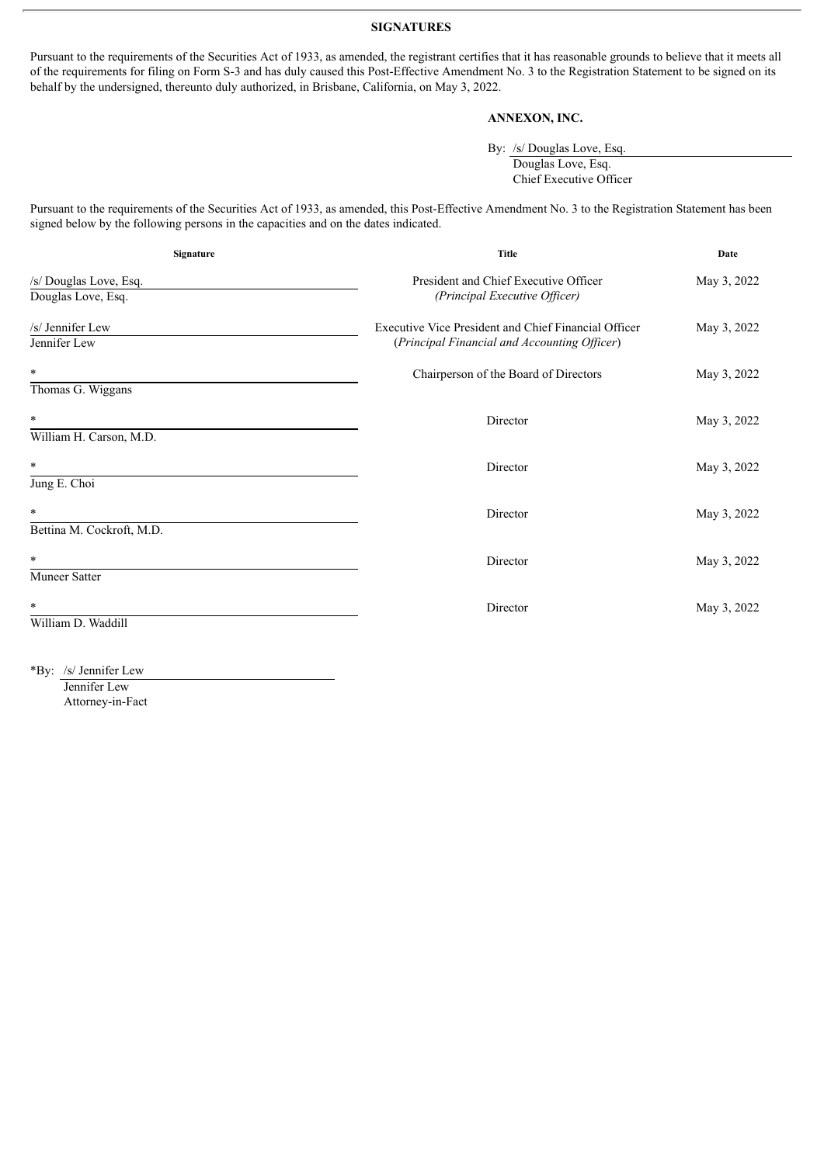#### **SIGNATURES**

Pursuant to the requirements of the Securities Act of 1933, as amended, the registrant certifies that it has reasonable grounds to believe that it meets all of the requirements for filing on Form S-3 and has duly caused this Post-Effective Amendment No. 3 to the Registration Statement to be signed on its behalf by the undersigned, thereunto duly authorized, in Brisbane, California, on May 3, 2022.

#### **ANNEXON, INC.**

By: /s/ Douglas Love, Esq. Douglas Love, Esq.

Chief Executive Officer

Pursuant to the requirements of the Securities Act of 1933, as amended, this Post-Effective Amendment No. 3 to the Registration Statement has been signed below by the following persons in the capacities and on the dates indicated.

| Signature                                    | <b>Title</b>                                                                                         | Date        |
|----------------------------------------------|------------------------------------------------------------------------------------------------------|-------------|
| /s/ Douglas Love, Esq.<br>Douglas Love, Esq. | President and Chief Executive Officer<br>(Principal Executive Officer)                               | May 3, 2022 |
| /s/ Jennifer Lew<br>Jennifer Lew             | Executive Vice President and Chief Financial Officer<br>(Principal Financial and Accounting Officer) | May 3, 2022 |
| $\ast$<br>Thomas G. Wiggans                  | Chairperson of the Board of Directors                                                                | May 3, 2022 |
| $\ast$<br>William H. Carson, M.D.            | Director                                                                                             | May 3, 2022 |
| $\ast$<br>Jung E. Choi                       | Director                                                                                             | May 3, 2022 |
| $\ast$                                       | Director                                                                                             | May 3, 2022 |
| Bettina M. Cockroft, M.D.<br>$\ast$          | Director                                                                                             | May 3, 2022 |
| Muneer Satter<br>$\ast$                      | Director                                                                                             | May 3, 2022 |
| William D. Waddill                           |                                                                                                      |             |

\*By: /s/ Jennifer Lew

Jennifer Lew Attorney-in-Fact